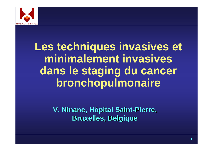

# **Les techniques invasives et minimalement invasives dans le staging du cancer bronchopulmonaire**

**V. Ninane, Hôpital Saint V. Ninane, Hôpital Saint -Pierre, Pierre, Bruxelles, Belgique Bruxelles, Belgique**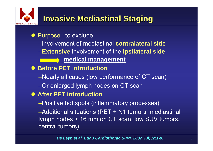

#### • Purpose : to exclude

- –Involvement of mediastinal **contralateral side**
- –**Extensive** involvement of the **ipsilateral side**
	- **medical management** <u> The Community of the Community of the Community of the Community of the Community of the Community of the Com</u>
- **Before PET introduction** 
	- –Nearly all cases (low performance of CT scan)
	- –Or enlarged lymph nodes on CT scan

#### **• After PET introduction**

–Positive hot spots (inflammatory processes)

–Additional situations (PET + N1 tumors, mediastinal lymph nodes > 16 mm on CT scan, low SUV tumors, central tumors)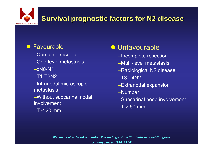# **Survival prognostic factors for N2 disease**

#### **• Favourable**

- –Complete resection
- –One-level metastasis
- $-cN0-N1$
- $-T1-T2N2$
- –Intranodal microscopic metastasis
- –Without subcarinal nodal involvement
- $-T < 20$  mm

## **• Unfavourable**

- –Incomplete resection
- –Multi-level metastasis
- –Radiological N2 disease
- –T3-T4N2
- –Extranodal expansion
- –Number
- –Subcarinal node involvement
- $-T > 50$  mm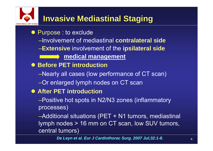#### • Purpose : to exclude

- –Involvement of mediastinal **contralateral side**
- –**Extensive** involvement of the **ipsilateral side**
	- **Example 2 medical management**
- **Before PET introduction** 
	- –Nearly all cases (low performance of CT scan)

## –Or enlarged lymph nodes on CT scan

#### **• After PET introduction**

–Positive hot spots in N2/N3 zones (inflammatory processes)

–Additional situations (PET + N1 tumors, mediastinal lymph nodes > 16 mm on CT scan, low SUV tumors, central tumors)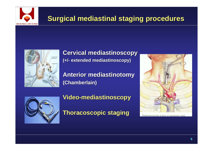

### **Surgical mediastinal staging procedures Surgical mediastinal staging procedures**



**Cervical mediastinoscopy Cervical mediastinoscopy (+/-extended mediastinoscopy) extended mediastinoscopy)**

**Anterior mediastinotomy Anterior mediastinotomy (Chamberlain) (Chamberlain)**



**Video -mediastinoscopy mediastinoscopy**

**Thoracoscopic staging Thoracoscopic staging**



Mediastinoscopic biopsy of subcarinal node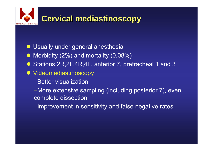

- $\bullet$ Usually under general anesthesia
- $\bullet$ Morbidity (2%) and mortality (0.08%)
- $\bullet$ Stations 2R,2L,4R,4L, anterior 7, pretracheal 1 and 3
- $\bullet$  Videomediastinoscopy
	- –Better visualization

–More extensive sampling (including posterior 7), even complete dissection

–Improvement in sensitivity and false negative rates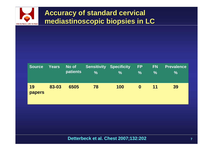

#### **Accuracy of standard cervical mediastinoscopic biopsies in LC mediastinoscopic biopsies in LC**

| <b>Source</b>       | <b>Years</b> | No of<br><b>patients</b> | <b>Sensitivity Specificity</b><br>$\frac{0}{0}$ | %   | <b>FP</b><br>$\frac{1}{2}$ | <b>FN</b><br>$\frac{0}{0}$ | <b>Prevalence</b><br>$\%$ |
|---------------------|--------------|--------------------------|-------------------------------------------------|-----|----------------------------|----------------------------|---------------------------|
| 19<br><b>papers</b> | 83-03        | 6505                     | 78                                              | 100 | $\bf{0}$                   | 11                         | 39                        |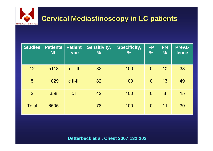

| <b>Studies</b> | <b>Patients</b><br><b>Nb</b> | <b>Patient</b><br>type | <b>Sensitivity,</b><br>$\frac{0}{0}$ | <b>Specificity,</b><br>$\frac{0}{0}$ | <b>FP</b><br>$\frac{0}{0}$ | <b>FN</b><br>$\sqrt{2}$ | Preva-<br>lence |
|----------------|------------------------------|------------------------|--------------------------------------|--------------------------------------|----------------------------|-------------------------|-----------------|
| 12             | 5118                         | $c$ -III               | 82                                   | 100                                  | $\overline{0}$             | 10                      | 38              |
| 5              | 1029                         | $c$ II-III             | 82                                   | 100                                  | $\overline{0}$             | 13                      | 49              |
| $\overline{2}$ | 358                          | $\mathsf{c}$           | 42                                   | 100                                  | $\overline{0}$             | 8                       | 15              |
| <b>Total</b>   | 6505                         |                        | 78                                   | 100                                  | $\overline{0}$             | 11                      | 39              |

**Detterbeck et al. Chest 2007;132:202**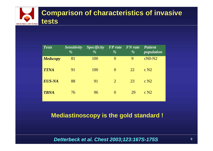

| <b>Tests</b>    | <b>Sensitivity</b><br>$\frac{0}{6}$ | <i>Specificity</i><br>$\frac{0}{0}$ | <b>FP</b> rate FN rate<br>$\frac{0}{0}$ | $\frac{0}{0}$ | <b>Patient</b><br><i>population</i> |
|-----------------|-------------------------------------|-------------------------------------|-----------------------------------------|---------------|-------------------------------------|
| <b>Medscopy</b> | 81                                  | 100                                 | $\theta$                                | 9             | $cN0-N2$                            |
| <b>TTNA</b>     | 91                                  | 100                                 | $\theta$                                | 22            | $\rm c\ N2$                         |
| <b>EUS-NA</b>   | 88                                  | 91                                  | 2                                       | 23            | c N2                                |
| <b>TBNA</b>     | 76                                  | 96                                  | $\theta$                                | 29            | c N2                                |

#### **Mediastinoscopy is the gold standard !**

#### *Detterbeck et al. Chest 2003;123:167S-175S*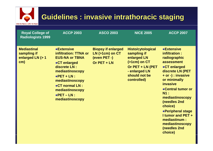# **CHU St-Pierre | UMC St-Pieter**

## **Guidelines : invasive intrathoracic staging Guidelines : invasive intrathoracic staging**

| <b>Royal College of</b><br><b>Radiologists 1999</b>          | <b>ACCP 2003</b>                                                                                                                                                                                                                                    | <b>ASCO 2003</b>                                                               | <b>NICE 2005</b>                                                                                                                                  | <b>ACCP 2007</b>                                                                                                                                                                                                                                                                                                                                     |
|--------------------------------------------------------------|-----------------------------------------------------------------------------------------------------------------------------------------------------------------------------------------------------------------------------------------------------|--------------------------------------------------------------------------------|---------------------------------------------------------------------------------------------------------------------------------------------------|------------------------------------------------------------------------------------------------------------------------------------------------------------------------------------------------------------------------------------------------------------------------------------------------------------------------------------------------------|
| <b>Mediastinal</b><br>sampling if<br>enlarged LN (> 1<br>cm) | <b>•Extensive</b><br>infiltration: TTNA or<br><b>EUS-NA or TBNA</b><br>●CT enlarged<br>discrete LN :<br>mediastinoscopy<br>$\bullet$ PET + LN :<br>mediastinoscopy<br>●CT normal LN :<br>mediastinoscopy<br>$\bullet$ PET - LN :<br>mediastinoscopy | <b>Biopsy if enlarged</b><br>$LN(>1cm)$ on $CT$<br>(even PET -)<br>Or PET + LN | <b>Histo/cytological</b><br>sampling if<br>enlarged LN<br>$($ >1cm $)$ on CT<br>Or PET + LN (PET<br>- enlarged LN<br>should not be<br>controlled) | <b>•Extensive</b><br>infiltration:<br>radiographic<br>assessment<br>●CT enlarged<br>discrete LN (PET<br>+ or -) : invasive<br>or minimally<br><b>invasive</b><br>• Central tumor or<br><b>N1:</b><br>mediastinoscopy<br>(needles 2nd<br>choice)<br>•Peripheral stage<br><b>I tumor and PET +</b><br>mediastinum :<br>mediastinoscopy<br>(needles 2nd |

**choice)**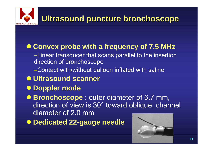

### **• Convex probe with a frequency of 7.5 MHz**

- –Linear transducer that scans parallel to the insertion direction of bronchoscope
- –Contact with/without balloon inflated with saline
- $\bullet$  **Ultrasound scanner**
- $\bullet$ **Doppler mode**

**• Bronchoscope**: outer diameter of 6.7 mm, direction of view is 30° toward oblique, channel diameter of 2.0 mm

**• Dedicated 22-gauge needle** 

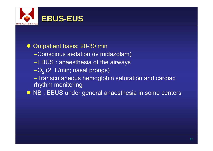

 $\bullet$  Outpatient basis; 20-30 min –Conscious sedation (iv midazolam) –EBUS : anaesthesia of the airways  $-{\mathsf O}_{2}$  (2  $\,$  L/min; nasal prongs) –Transcutaneous hemoglobin saturation and cardiac rhythm monitoring **• NB : EBUS under general anaesthesia in some centers**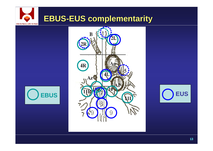## **EBUS-EUS complementarity CHU St-Pierre | UMC St-Pieter**





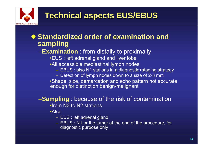

#### **• Standardized order of examination and sampling**

–**Examination** : from distally to proximally

- •EUS : left adrenal gland and liver lobe
- •All accessible mediastinal lymph nodes
	- EBUS : also N1 stations in a diagnostic+staging strategy
	- Detection of lymph nodes down to a size of 2-3 mm

•Shape, size, demarcation and echo pattern not accurate enough for distinction benign-malignant

#### –**Sampling** : because of the risk of contamination •from N3 to N2 stations

•Also

- EUS : left adrenal gland
- EBUS : N1 or the tumor at the end of the procedure, for diagnostic purpose only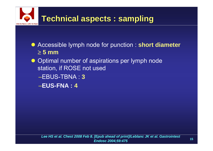

- **Accessible lymph node for punction : short diameter** ≥ **5 mm**
- Optimal number of aspirations per lymph node station, if ROSE not used
	- –EBUS-TBNA : **3**
	- –**EUS-FNA : 4**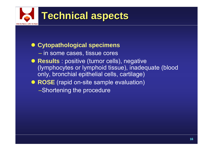

**• Cytopathological specimens**  $-$  in some cases, tissue cores **• Results** : positive (tumor cells), negative (lymphocytes or lymphoid tissue), inadequate (blood only, bronchial epithelial cells, cartilage) **• ROSE** (rapid on-site sample evaluation) –Shortening the procedure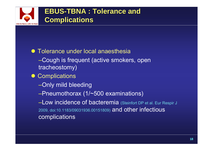

#### • Tolerance under local anaesthesia –Cough is frequent (active smokers, open tracheostomy)

- Complications
	- –Only mild bleeding
	- –Pneumothorax (1/~500 examinations)

–Low incidence of bacteremia (Steinfort DP et al. Eur Respir J 2009, doi:10.1183/09031936.00151809) and other infectious complications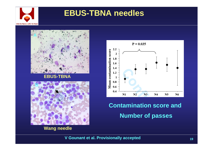

## **EBUS-TBNA needles**



#### **EBUS-TBNA**



**Wang needle**



## **Contamination score and Number of passes**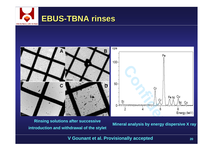



**Mineral analysis by energy dispersive X ray Rinsing solutions after successive introduction and withdrawal of the stylet**

**V Gounant et al. Provisionally accepted**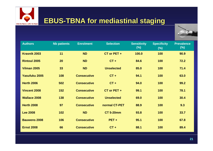

#### **EBUS-TBNA for mediastinal staging**



| <b>Authors</b>       | <b>Nb patients</b> | <b>Enrolment</b>   | <b>Selection</b>  | <b>Sensitivity</b><br>$(\%)$ | <b>Specificity</b><br>(%) | <b>Prevalence</b><br>$(\%)$ |
|----------------------|--------------------|--------------------|-------------------|------------------------------|---------------------------|-----------------------------|
| <b>Krasnik 2003</b>  | 11                 | <b>ND</b>          | $CT$ or PET +     | 100.0                        | 100                       | 90.9                        |
| <b>Rintoul 2005</b>  | 20                 | <b>ND</b>          | $CT +$            | 84.6                         | 100                       | $72.2$                      |
| Vilman 2005          | 33                 | <b>ND</b>          | <b>Unselected</b> | 85.0                         | 100                       | 71.4                        |
| <b>Yasufuku 2005</b> | 108                | <b>Consecutive</b> | $CT +$            | 94.1                         | 100                       | 63.0                        |
| <b>Herth 2006</b>    | 502                | <b>Consecutive</b> | $CT +$            | 94.0                         | 100                       | 99.2                        |
| <b>Vincent 2008</b>  | 152                | <b>Consecutive</b> | $CT$ or PET +     | 99.1                         | 100                       | 78.1                        |
| <b>Wallace 2008</b>  | 138                | <b>Consecutive</b> | <b>Unselected</b> | 69.0                         | 100                       | 30.4                        |
| <b>Herth 2008</b>    | 97                 | <b>Consecutive</b> | normal CT-PET     | 88.9                         | 100                       | 9.3                         |
| <b>Lee 2008</b>      | 102                | <b>ND</b>          | <b>CT 5-20mm</b>  | 93.8                         | 100                       | 33.7                        |
| <b>Bauwens 2008</b>  | 106                | <b>Consecutive</b> | $PET +$           | 95.1                         | 100                       | 67.8                        |
| <b>Ernst 2008</b>    | 66                 | <b>Consecutive</b> | $CT +$            | 88.1                         | 100                       | 89.4                        |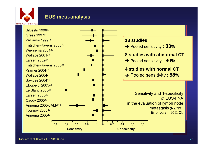

#### **EUS meta-analysis**

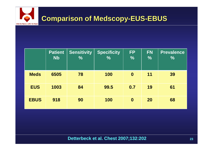

|             | <b>Patient</b><br><b>Nb</b> | <b>Sensitivity</b><br>$\frac{0}{0}$ | <b>Specificity</b><br>$\overline{0}/_{\!\!\!0}$ | <b>FP</b><br>$\frac{0}{0}$ | <b>FN</b><br>$\frac{0}{0}$ | <b>Prevalence</b><br>$\frac{0}{0}$ |
|-------------|-----------------------------|-------------------------------------|-------------------------------------------------|----------------------------|----------------------------|------------------------------------|
| <b>Meds</b> | 6505                        | 78                                  | 100                                             | $\boldsymbol{0}$           | 11                         | 39                                 |
| <b>EUS</b>  | 1003                        | 84                                  | 99.5                                            | 0.7                        | 19                         | 61                                 |
| <b>EBUS</b> | 918                         | 90                                  | 100                                             | $\boldsymbol{0}$           | 20                         | 68                                 |

**Detterbeck et al. Chest 2007;132:202**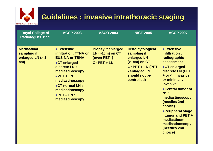# **CHU St-Pierre | UMC St-Pieter**

## **Guidelines : invasive intrathoracic staging Guidelines : invasive intrathoracic staging**

| <b>Royal College of</b><br><b>Radiologists 1999</b>          | <b>ACCP 2003</b>                                                                                                                                                                                                                                    | <b>ASCO 2003</b>                                                               | <b>NICE 2005</b>                                                                                                                                  | <b>ACCP 2007</b>                                                                                                                                                                                                                                                                                                                                     |
|--------------------------------------------------------------|-----------------------------------------------------------------------------------------------------------------------------------------------------------------------------------------------------------------------------------------------------|--------------------------------------------------------------------------------|---------------------------------------------------------------------------------------------------------------------------------------------------|------------------------------------------------------------------------------------------------------------------------------------------------------------------------------------------------------------------------------------------------------------------------------------------------------------------------------------------------------|
| <b>Mediastinal</b><br>sampling if<br>enlarged LN (> 1<br>cm) | <b>•Extensive</b><br>infiltration: TTNA or<br><b>EUS-NA or TBNA</b><br>●CT enlarged<br>discrete LN :<br>mediastinoscopy<br>$\bullet$ PET + LN :<br>mediastinoscopy<br>●CT normal LN :<br>mediastinoscopy<br>$\bullet$ PET - LN :<br>mediastinoscopy | <b>Biopsy if enlarged</b><br>$LN(>1cm)$ on $CT$<br>(even PET -)<br>Or PET + LN | <b>Histo/cytological</b><br>sampling if<br>enlarged LN<br>$($ >1cm $)$ on CT<br>Or PET + LN (PET<br>- enlarged LN<br>should not be<br>controlled) | <b>•Extensive</b><br>infiltration:<br>radiographic<br>assessment<br>●CT enlarged<br>discrete LN (PET<br>+ or -) : invasive<br>or minimally<br><b>invasive</b><br>• Central tumor or<br><b>N1:</b><br>mediastinoscopy<br>(needles 2nd<br>choice)<br>•Peripheral stage<br><b>I tumor and PET +</b><br>mediastinum :<br>mediastinoscopy<br>(needles 2nd |

**choice)**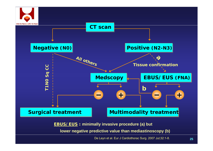



**EBUS/EUS : minimally invasive procedure (a) but** 

**lower negative predictive value than mediastinoscopy (b)**

De Leyn et al. Eur J Cardiothorac Surg. 2007 Jul;32:1-8.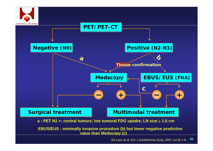



**a : PET N1 +; central tumors; low tumoral FDG uptake; LN size** <sup>≥</sup> **1.6 cm**

 **EBUS/EUS : minimally invasive procedure (b) but lower negative predictive value than Medscopy (c)**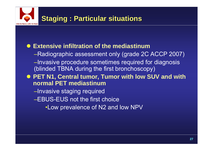#### **• Extensive infiltration of the mediastinum**

- –Radiographic assessment only (grade 2C ACCP 2007) –Invasive procedure sometimes required for diagnosis (blinded TBNA during the first bronchoscopy)
- PET N1, Central tumor, Tumor with low SUV and with **normal PET mediastinum**
	- –Invasive staging required
	- –EBUS-EUS not the first choice
		- •Low prevalence of N2 and low NPV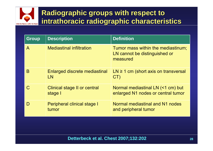

| <b>Group</b> | <b>Description</b>                      | <b>Definition</b>                                                               |
|--------------|-----------------------------------------|---------------------------------------------------------------------------------|
| $\mathsf{A}$ | <b>Mediastinal infiltration</b>         | Tumor mass within the mediastinum;<br>LN cannot be distinguished or<br>measured |
| B            | Enlarged discrete mediastinal<br>LN     | $LN \ge 1$ cm (short axis on transversal<br>CT)                                 |
| C            | Clinical stage II or central<br>stage I | Normal mediastinal LN (<1 cm) but<br>enlarged N1 nodes or central tumor         |
| D            | Peripheral clinical stage I<br>tumor    | Normal mediastinal and N1 nodes<br>and peripheral tumor                         |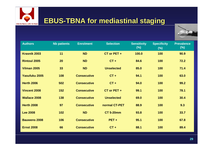

#### **EBUS-TBNA for mediastinal staging**



| <b>Authors</b>       | <b>Nb patients</b> | <b>Enrolment</b>   | <b>Selection</b>  | <b>Sensitivity</b><br>$(\%)$ | <b>Specificity</b><br>(%) | <b>Prevalence</b><br>$(\%)$ |
|----------------------|--------------------|--------------------|-------------------|------------------------------|---------------------------|-----------------------------|
| <b>Krasnik 2003</b>  | 11                 | <b>ND</b>          | $CT$ or PET +     | 100.0                        | 100                       | 90.9                        |
| <b>Rintoul 2005</b>  | 20                 | <b>ND</b>          | $CT +$            | 84.6                         | 100                       | $72.2$                      |
| Vilman 2005          | 33                 | <b>ND</b>          | <b>Unselected</b> | 85.0                         | 100                       | 71.4                        |
| <b>Yasufuku 2005</b> | 108                | <b>Consecutive</b> | $CT +$            | 94.1                         | 100                       | 63.0                        |
| <b>Herth 2006</b>    | 502                | <b>Consecutive</b> | $CT +$            | 94.0                         | 100                       | 99.2                        |
| <b>Vincent 2008</b>  | 152                | <b>Consecutive</b> | $CT$ or PET +     | 99.1                         | 100                       | 78.1                        |
| <b>Wallace 2008</b>  | 138                | <b>Consecutive</b> | <b>Unselected</b> | 69.0                         | 100                       | 30.4                        |
| <b>Herth 2008</b>    | 97                 | <b>Consecutive</b> | normal CT-PET     | 88.9                         | 100                       | 9.3                         |
| <b>Lee 2008</b>      | 102                | <b>ND</b>          | <b>CT 5-20mm</b>  | 93.8                         | 100                       | 33.7                        |
| <b>Bauwens 2008</b>  | 106                | <b>Consecutive</b> | $PET +$           | 95.1                         | 100                       | 67.8                        |
| <b>Ernst 2008</b>    | 66                 | <b>Consecutive</b> | $CT +$            | 88.1                         | 100                       | 89.4                        |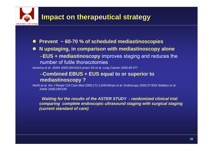

**•** Prevent ~ 60-70 % of scheduled mediastinoscopies

#### $\bullet$  **N upstaging, in comparison with mediastinoscopy alone** –**EUS + mediastinoscopy** improves staging and reduces the number of futile thoracotomies

*Annema et al. JAMA 2005;294:931/Larsen SS et al. Lung Cancer 2005;49:377*

#### –**Combined EBUS + EUS equal to or superior to mediastinoscopy ?**

*Herth et al. Am J Respir Crit Care Med 2005;171:1164/Vilman et al. Endoscopy 2005;37:833/ Wallace et al. JAMA 2008;299:540*

*Waiting for the results of the ASTER STUDY : randomized clinical trial comparing complete endoscopic ultrasound staging with surgical staging (current standard of care)*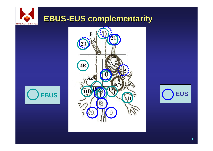## **EBUS-EUS complementarity CHU St-Pierre | UMC St-Pieter**





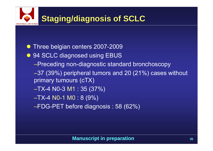

- $\bullet$ Three belgian centers 2007-2009
- 94 SCLC diagnosed using EBUS
	- –Preceding non-diagnostic standard bronchoscopy
	- –37 (39%) peripheral tumors and 20 (21%) cases without primary tumours (cTX)
	- –TX-4 N0-3 M1 : 35 (37%)
	- –TX-4 N0-1 M0 : 8 (9%)
	- –FDG-PET before diagnosis : 58 (62%)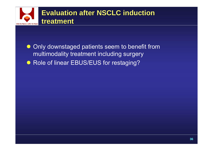

 $\bullet$  Only downstaged patients seem to benefit from multimodality treatment including surgery • Role of linear EBUS/EUS for restaging?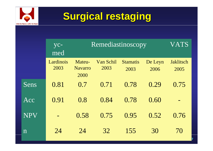

# **Surgical restaging Surgical restaging**

|             | yc-<br>med        |                                  | Remediastinoscopy |                         |                 |                   |  |  |
|-------------|-------------------|----------------------------------|-------------------|-------------------------|-----------------|-------------------|--|--|
|             | Lardinois<br>2003 | Mateu-<br><b>Navarro</b><br>2000 | Van Schil<br>2003 | <b>Stamatis</b><br>2003 | De Leyn<br>2006 | Jaklitsch<br>2005 |  |  |
| Sens        | 0.81              | 0.7                              | 0.71              | 0.78                    | 0.29            | 0.75              |  |  |
| Acc         | 0.91              | 0.8                              | 0.84              | 0.78                    | 0.60            |                   |  |  |
| <b>NPV</b>  |                   | 0.58                             | 0.75              | 0.95                    | 0.52            | 0.76              |  |  |
| $\mathbf n$ | 24                | 24                               | 32                | 155                     | 30              | 70                |  |  |

**37**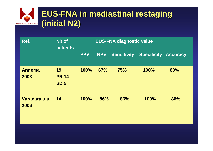#### **EUS-FNA in mediastinal mediastinal restaging restaging (initial N2) (initial N2) CHU St-Pierre | UMC St-Pieter**

| Ref.                  | Nb of<br><b>patients</b>          |            | <b>EUS-FNA diagnostic value</b> |                    |                             |     |
|-----------------------|-----------------------------------|------------|---------------------------------|--------------------|-----------------------------|-----|
|                       |                                   | <b>PPV</b> | <b>NPV</b>                      | <b>Sensitivity</b> | <b>Specificity Accuracy</b> |     |
| <b>Annema</b><br>2003 | 19<br><b>PR 14</b><br><b>SD 5</b> | 100%       | 67%                             | <b>75%</b>         | 100%                        | 83% |
| Varadarajulu<br>2006  | 14                                | 100%       | 86%                             | 86%                | 100%                        | 86% |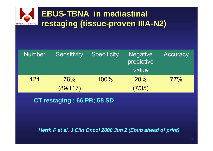

| <b>Number</b> | <b>Sensitivity</b> | <b>Specificity</b> | <b>Negative</b><br>predictive<br>value | Accuracy |
|---------------|--------------------|--------------------|----------------------------------------|----------|
| 124           | 76%<br>(89/117)    | 100%               | 20%<br>(7/35)                          | 77%      |
|               |                    |                    |                                        |          |

**CT restaging : 66 PR; 58 SD**

*Herth F et al. J Clin Oncol 2008 Jun 2 (Epub ahead of print)*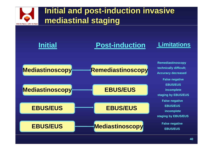

## **Initial and post-induction invasive mediastinal staging mediastinal staging**